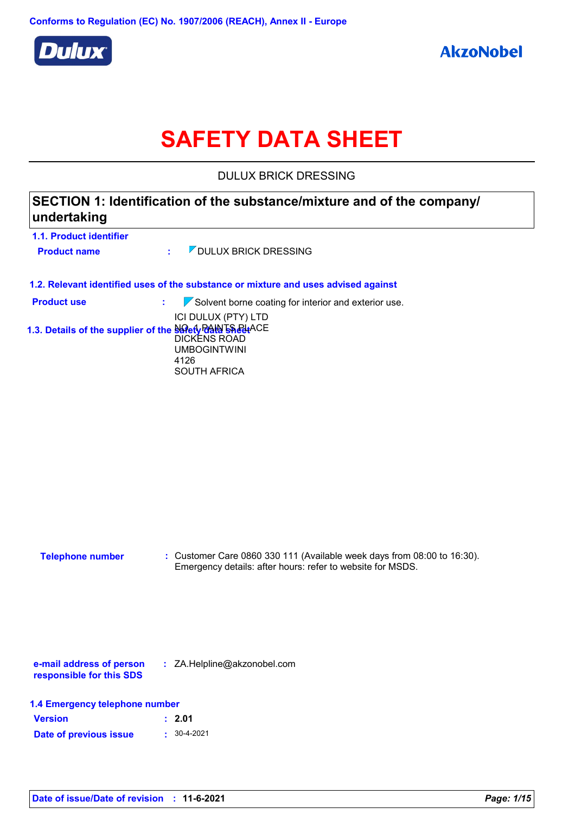

# **SAFETY DATA SHEET**

DULUX BRICK DRESSING

# **SECTION 1: Identification of the substance/mixture and of the company/ undertaking**

| 1.1. Product identifier<br><b>Product name</b> | <b>7 DULUX BRICK DRESSING</b><br>t.                                                                                                                     |
|------------------------------------------------|---------------------------------------------------------------------------------------------------------------------------------------------------------|
|                                                | 1.2. Relevant identified uses of the substance or mixture and uses advised against                                                                      |
| <b>Product use</b>                             | $\sqrt{\ }$ Solvent borne coating for interior and exterior use.<br>÷.                                                                                  |
|                                                | ICI DULUX (PTY) LTD<br>1.3. Details of the supplier of the Salety PAIN 59 Pdt ACE<br>DICKENS ROAD<br><b>UMBOGINTWINI</b><br>4126<br><b>SOUTH AFRICA</b> |
|                                                |                                                                                                                                                         |

| <b>Telephone number</b> | : Customer Care 0860 330 111 (Available week days from $08:00$ to 16:30). |
|-------------------------|---------------------------------------------------------------------------|
|                         | Emergency details: after hours: refer to website for MSDS.                |

**e-mail address of person responsible for this SDS :** ZA.Helpline@akzonobel.com

|  |  | 1.4 Emergency telephone number |  |
|--|--|--------------------------------|--|
|--|--|--------------------------------|--|

| <b>Version</b>         | : 2.01            |
|------------------------|-------------------|
| Date of previous issue | $: 30 - 4 - 2021$ |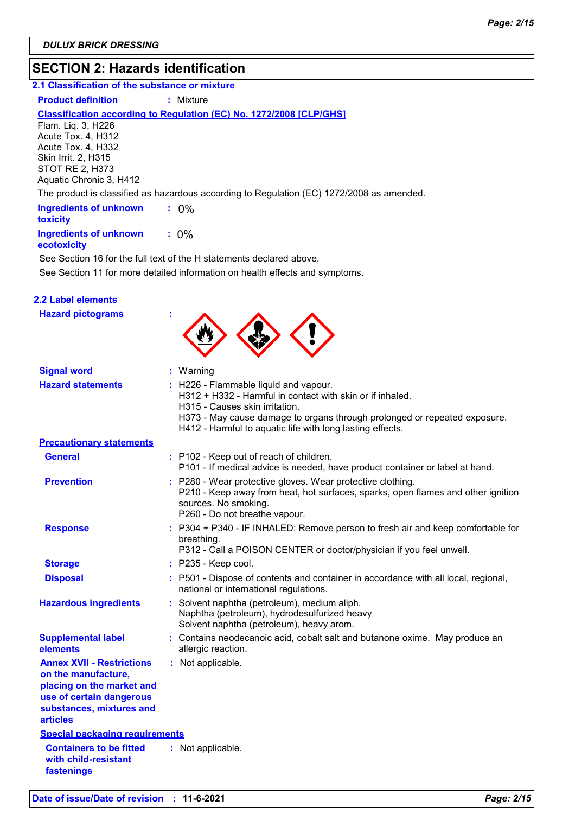# **SECTION 2: Hazards identification**

### **2.1 Classification of the substance or mixture**

#### **Product definition : Mixture**

### **Classification according to Regulation (EC) No. 1272/2008 [CLP/GHS]**

Flam. Liq. 3, H226 Acute Tox. 4, H312 Acute Tox. 4, H332 Skin Irrit. 2, H315 STOT RE 2, H373 Aquatic Chronic 3, H412

The product is classified as hazardous according to Regulation (EC) 1272/2008 as amended.

| <b>Ingredients of unknown</b><br>toxicity    |         |
|----------------------------------------------|---------|
| <b>Ingredients of unknown</b><br>ecotoxicity | $: 0\%$ |

See Section 11 for more detailed information on health effects and symptoms. See Section 16 for the full text of the H statements declared above.

| <b>2.2 Label elements</b>                                                                                                                                       |                                                                                                                                                                                                                                                                                |
|-----------------------------------------------------------------------------------------------------------------------------------------------------------------|--------------------------------------------------------------------------------------------------------------------------------------------------------------------------------------------------------------------------------------------------------------------------------|
| <b>Hazard pictograms</b>                                                                                                                                        |                                                                                                                                                                                                                                                                                |
| <b>Signal word</b>                                                                                                                                              | : Warning                                                                                                                                                                                                                                                                      |
| <b>Hazard statements</b>                                                                                                                                        | : H226 - Flammable liquid and vapour.<br>H312 + H332 - Harmful in contact with skin or if inhaled.<br>H315 - Causes skin irritation.<br>H373 - May cause damage to organs through prolonged or repeated exposure.<br>H412 - Harmful to aquatic life with long lasting effects. |
| <b>Precautionary statements</b>                                                                                                                                 |                                                                                                                                                                                                                                                                                |
| <b>General</b>                                                                                                                                                  | : P102 - Keep out of reach of children.<br>P101 - If medical advice is needed, have product container or label at hand.                                                                                                                                                        |
| <b>Prevention</b>                                                                                                                                               | : P280 - Wear protective gloves. Wear protective clothing.<br>P210 - Keep away from heat, hot surfaces, sparks, open flames and other ignition<br>sources. No smoking.<br>P260 - Do not breathe vapour.                                                                        |
| <b>Response</b>                                                                                                                                                 | : P304 + P340 - IF INHALED: Remove person to fresh air and keep comfortable for<br>breathing.<br>P312 - Call a POISON CENTER or doctor/physician if you feel unwell.                                                                                                           |
| <b>Storage</b>                                                                                                                                                  | : P235 - Keep cool.                                                                                                                                                                                                                                                            |
| <b>Disposal</b>                                                                                                                                                 | : P501 - Dispose of contents and container in accordance with all local, regional,<br>national or international regulations.                                                                                                                                                   |
| <b>Hazardous ingredients</b>                                                                                                                                    | : Solvent naphtha (petroleum), medium aliph.<br>Naphtha (petroleum), hydrodesulfurized heavy<br>Solvent naphtha (petroleum), heavy arom.                                                                                                                                       |
| <b>Supplemental label</b><br>elements                                                                                                                           | : Contains neodecanoic acid, cobalt salt and butanone oxime. May produce an<br>allergic reaction.                                                                                                                                                                              |
| <b>Annex XVII - Restrictions</b><br>on the manufacture,<br>placing on the market and<br>use of certain dangerous<br>substances, mixtures and<br><b>articles</b> | : Not applicable.                                                                                                                                                                                                                                                              |
| <b>Special packaging requirements</b>                                                                                                                           |                                                                                                                                                                                                                                                                                |
| <b>Containers to be fitted</b><br>with child-resistant<br>fastenings                                                                                            | : Not applicable.                                                                                                                                                                                                                                                              |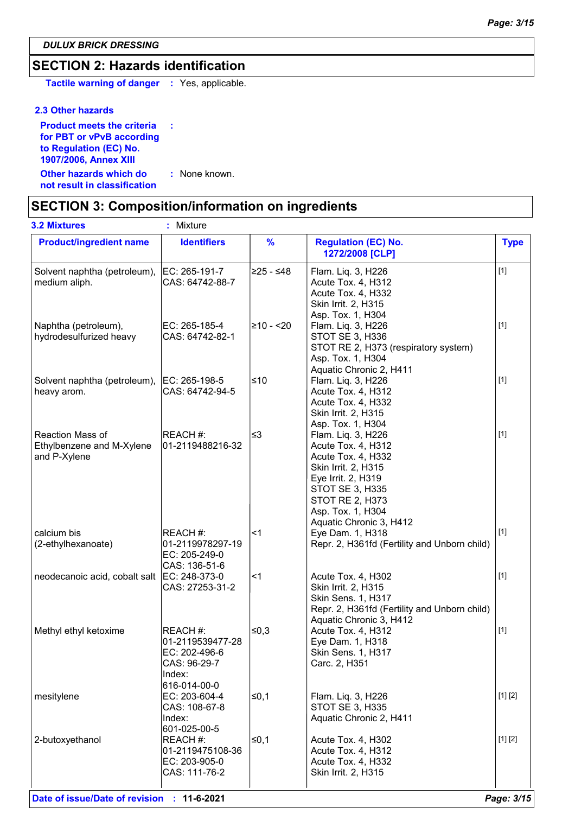*DULUX BRICK DRESSING*

# **SECTION 2: Hazards identification**

**Tactile warning of danger :** Yes, applicable.

### **2.3 Other hazards**

| <b>Product meets the criteria</b> | ÷             |
|-----------------------------------|---------------|
| for PBT or vPvB according         |               |
| to Regulation (EC) No.            |               |
| 1907/2006, Annex XIII             |               |
| Other hazards which do            | : None known. |
| not result in classification      |               |

# **SECTION 3: Composition/information on ingredients**

| <b>3.2 Mixtures</b>                                           | : Mixture                                                                               |               |                                                                                                                                                                                                                 |             |
|---------------------------------------------------------------|-----------------------------------------------------------------------------------------|---------------|-----------------------------------------------------------------------------------------------------------------------------------------------------------------------------------------------------------------|-------------|
| <b>Product/ingredient name</b>                                | <b>Identifiers</b>                                                                      | $\frac{9}{6}$ | <b>Regulation (EC) No.</b><br>1272/2008 [CLP]                                                                                                                                                                   | <b>Type</b> |
| Solvent naphtha (petroleum),<br>medium aliph.                 | EC: 265-191-7<br>CAS: 64742-88-7                                                        | 225 - ≤48∣    | Flam. Liq. 3, H226<br>Acute Tox. 4, H312<br>Acute Tox. 4, H332<br>Skin Irrit. 2, H315<br>Asp. Tox. 1, H304                                                                                                      | $[1]$       |
| Naphtha (petroleum),<br>hydrodesulfurized heavy               | EC: 265-185-4<br>CAS: 64742-82-1                                                        | 210 - <20⊧    | Flam. Liq. 3, H226<br><b>STOT SE 3, H336</b><br>STOT RE 2, H373 (respiratory system)<br>Asp. Tox. 1, H304<br>Aquatic Chronic 2, H411                                                                            | $[1]$       |
| Solvent naphtha (petroleum),<br>heavy arom.                   | EC: 265-198-5<br>CAS: 64742-94-5                                                        | ≤10           | Flam. Liq. 3, H226<br>Acute Tox. 4, H312<br>Acute Tox. 4, H332<br>Skin Irrit. 2, H315<br>Asp. Tox. 1, H304                                                                                                      | $[1]$       |
| Reaction Mass of<br>Ethylbenzene and M-Xylene<br>and P-Xylene | REACH #:<br>01-2119488216-32                                                            | ∣≤3           | Flam. Liq. 3, H226<br>Acute Tox. 4, H312<br>Acute Tox. 4, H332<br>Skin Irrit. 2, H315<br>Eye Irrit. 2, H319<br><b>STOT SE 3, H335</b><br><b>STOT RE 2, H373</b><br>Asp. Tox. 1, H304<br>Aquatic Chronic 3, H412 | $[1]$       |
| calcium bis<br>(2-ethylhexanoate)                             | REACH #:<br>01-2119978297-19<br>EC: 205-249-0<br>CAS: 136-51-6                          | ∣<1           | Eye Dam. 1, H318<br>Repr. 2, H361fd (Fertility and Unborn child)                                                                                                                                                | $[1]$       |
| neodecanoic acid, cobalt salt                                 | EC: 248-373-0<br>CAS: 27253-31-2                                                        | ∣<1           | Acute Tox. 4, H302<br>Skin Irrit. 2, H315<br>Skin Sens. 1, H317<br>Repr. 2, H361fd (Fertility and Unborn child)<br>Aquatic Chronic 3, H412                                                                      | $[1]$       |
| Methyl ethyl ketoxime                                         | REACH #:<br>01-2119539477-28<br>EC: 202-496-6<br>CAS: 96-29-7<br>Index:<br>616-014-00-0 | ∣≤0,3         | Acute Tox. 4, H312<br>Eye Dam. 1, H318<br><b>Skin Sens. 1, H317</b><br>Carc. 2, H351                                                                                                                            | $[1]$       |
| mesitylene                                                    | EC: 203-604-4<br>CAS: 108-67-8<br>Index:<br>601-025-00-5                                | $\leq$ 0,1    | Flam. Liq. 3, H226<br><b>STOT SE 3, H335</b><br>Aquatic Chronic 2, H411                                                                                                                                         | [1] [2]     |
| 2-butoxyethanol                                               | REACH #:<br>01-2119475108-36<br>EC: 203-905-0<br>CAS: 111-76-2                          | l≤0,1         | Acute Tox. 4, H302<br>Acute Tox. 4, H312<br>Acute Tox. 4, H332<br>Skin Irrit. 2, H315                                                                                                                           | [1] [2]     |
|                                                               |                                                                                         |               |                                                                                                                                                                                                                 |             |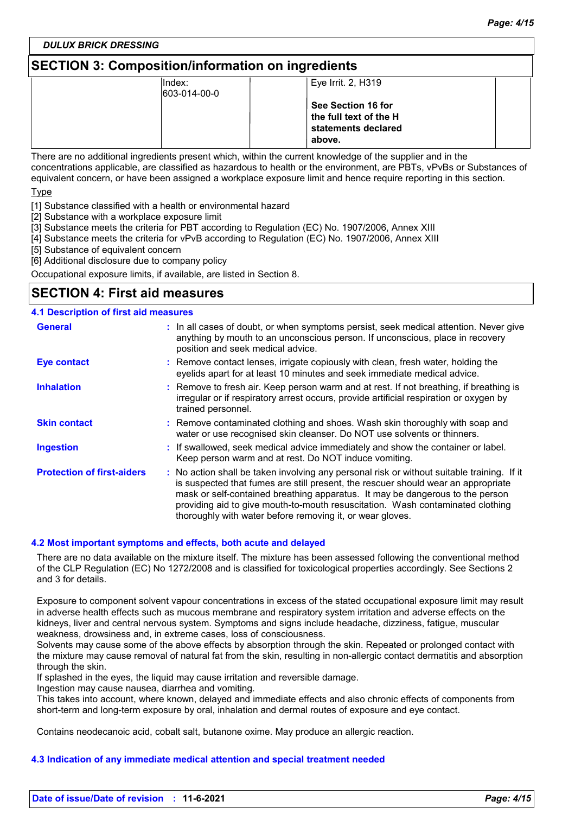*DULUX BRICK DRESSING*

# **SECTION 3: Composition/information on ingredients**

| Index:<br>603-014-00-0 | Eye Irrit. 2, H319                                                            |  |
|------------------------|-------------------------------------------------------------------------------|--|
|                        | See Section 16 for<br>the full text of the H<br>statements declared<br>above. |  |

There are no additional ingredients present which, within the current knowledge of the supplier and in the concentrations applicable, are classified as hazardous to health or the environment, are PBTs, vPvBs or Substances of equivalent concern, or have been assigned a workplace exposure limit and hence require reporting in this section.

Type

[1] Substance classified with a health or environmental hazard

[2] Substance with a workplace exposure limit

[3] Substance meets the criteria for PBT according to Regulation (EC) No. 1907/2006, Annex XIII

[4] Substance meets the criteria for vPvB according to Regulation (EC) No. 1907/2006, Annex XIII

[5] Substance of equivalent concern

[6] Additional disclosure due to company policy

Occupational exposure limits, if available, are listed in Section 8.

### **SECTION 4: First aid measures**

### **4.1 Description of first aid measures**

| <b>General</b>                    | : In all cases of doubt, or when symptoms persist, seek medical attention. Never give<br>anything by mouth to an unconscious person. If unconscious, place in recovery<br>position and seek medical advice.                                                                                                                                                                                                     |
|-----------------------------------|-----------------------------------------------------------------------------------------------------------------------------------------------------------------------------------------------------------------------------------------------------------------------------------------------------------------------------------------------------------------------------------------------------------------|
| <b>Eye contact</b>                | : Remove contact lenses, irrigate copiously with clean, fresh water, holding the<br>eyelids apart for at least 10 minutes and seek immediate medical advice.                                                                                                                                                                                                                                                    |
| <b>Inhalation</b>                 | : Remove to fresh air. Keep person warm and at rest. If not breathing, if breathing is<br>irregular or if respiratory arrest occurs, provide artificial respiration or oxygen by<br>trained personnel.                                                                                                                                                                                                          |
| <b>Skin contact</b>               | : Remove contaminated clothing and shoes. Wash skin thoroughly with soap and<br>water or use recognised skin cleanser. Do NOT use solvents or thinners.                                                                                                                                                                                                                                                         |
| <b>Ingestion</b>                  | : If swallowed, seek medical advice immediately and show the container or label.<br>Keep person warm and at rest. Do NOT induce vomiting.                                                                                                                                                                                                                                                                       |
| <b>Protection of first-aiders</b> | : No action shall be taken involving any personal risk or without suitable training. If it<br>is suspected that fumes are still present, the rescuer should wear an appropriate<br>mask or self-contained breathing apparatus. It may be dangerous to the person<br>providing aid to give mouth-to-mouth resuscitation. Wash contaminated clothing<br>thoroughly with water before removing it, or wear gloves. |

### **4.2 Most important symptoms and effects, both acute and delayed**

There are no data available on the mixture itself. The mixture has been assessed following the conventional method of the CLP Regulation (EC) No 1272/2008 and is classified for toxicological properties accordingly. See Sections 2 and 3 for details.

Exposure to component solvent vapour concentrations in excess of the stated occupational exposure limit may result in adverse health effects such as mucous membrane and respiratory system irritation and adverse effects on the kidneys, liver and central nervous system. Symptoms and signs include headache, dizziness, fatigue, muscular weakness, drowsiness and, in extreme cases, loss of consciousness.

Solvents may cause some of the above effects by absorption through the skin. Repeated or prolonged contact with the mixture may cause removal of natural fat from the skin, resulting in non-allergic contact dermatitis and absorption through the skin.

If splashed in the eyes, the liquid may cause irritation and reversible damage.

Ingestion may cause nausea, diarrhea and vomiting.

This takes into account, where known, delayed and immediate effects and also chronic effects of components from short-term and long-term exposure by oral, inhalation and dermal routes of exposure and eye contact.

Contains neodecanoic acid, cobalt salt, butanone oxime. May produce an allergic reaction.

### **4.3 Indication of any immediate medical attention and special treatment needed**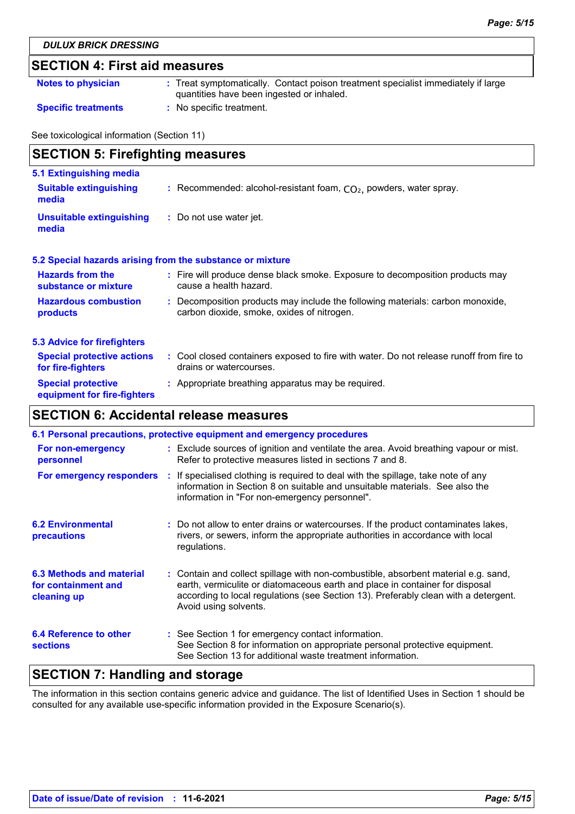# **SECTION 4: First aid measures**

| <b>Notes to physician</b>  | : Treat symptomatically. Contact poison treatment specialist immediately if large<br>quantities have been ingested or inhaled. |
|----------------------------|--------------------------------------------------------------------------------------------------------------------------------|
| <b>Specific treatments</b> | : No specific treatment.                                                                                                       |

See toxicological information (Section 11)

| <b>SECTION 5: Firefighting measures</b>                           |                                                                                                                              |  |
|-------------------------------------------------------------------|------------------------------------------------------------------------------------------------------------------------------|--|
| 5.1 Extinguishing media<br><b>Suitable extinguishing</b><br>media | : Recommended: alcohol-resistant foam, $CO2$ , powders, water spray.                                                         |  |
| <b>Unsuitable extinguishing</b><br>media                          | : Do not use water jet.                                                                                                      |  |
|                                                                   | 5.2 Special hazards arising from the substance or mixture                                                                    |  |
| <b>Hazards from the</b><br>substance or mixture                   | : Fire will produce dense black smoke. Exposure to decomposition products may<br>cause a health hazard.                      |  |
| <b>Hazardous combustion</b><br>products                           | : Decomposition products may include the following materials: carbon monoxide,<br>carbon dioxide, smoke, oxides of nitrogen. |  |
| <b>5.3 Advice for firefighters</b>                                |                                                                                                                              |  |
| <b>Special protective actions</b><br>for fire-fighters            | : Cool closed containers exposed to fire with water. Do not release runoff from fire to<br>drains or watercourses.           |  |
| <b>Special protective</b>                                         | : Appropriate breathing apparatus may be required.                                                                           |  |

# **SECTION 6: Accidental release measures**

**equipment for fire-fighters**

| 6.1 Personal precautions, protective equipment and emergency procedures |  |                                                                                                                                                                                                                                                                                    |  |  |
|-------------------------------------------------------------------------|--|------------------------------------------------------------------------------------------------------------------------------------------------------------------------------------------------------------------------------------------------------------------------------------|--|--|
| For non-emergency<br>personnel                                          |  | : Exclude sources of ignition and ventilate the area. Avoid breathing vapour or mist.<br>Refer to protective measures listed in sections 7 and 8.                                                                                                                                  |  |  |
| For emergency responders                                                |  | : If specialised clothing is required to deal with the spillage, take note of any<br>information in Section 8 on suitable and unsuitable materials. See also the<br>information in "For non-emergency personnel".                                                                  |  |  |
| <b>6.2 Environmental</b><br>precautions                                 |  | : Do not allow to enter drains or watercourses. If the product contaminates lakes,<br>rivers, or sewers, inform the appropriate authorities in accordance with local<br>regulations.                                                                                               |  |  |
| 6.3 Methods and material<br>for containment and<br>cleaning up          |  | : Contain and collect spillage with non-combustible, absorbent material e.g. sand,<br>earth, vermiculite or diatomaceous earth and place in container for disposal<br>according to local regulations (see Section 13). Preferably clean with a detergent.<br>Avoid using solvents. |  |  |
| 6.4 Reference to other<br><b>sections</b>                               |  | : See Section 1 for emergency contact information.<br>See Section 8 for information on appropriate personal protective equipment.<br>See Section 13 for additional waste treatment information.                                                                                    |  |  |

# **SECTION 7: Handling and storage**

The information in this section contains generic advice and guidance. The list of Identified Uses in Section 1 should be consulted for any available use-specific information provided in the Exposure Scenario(s).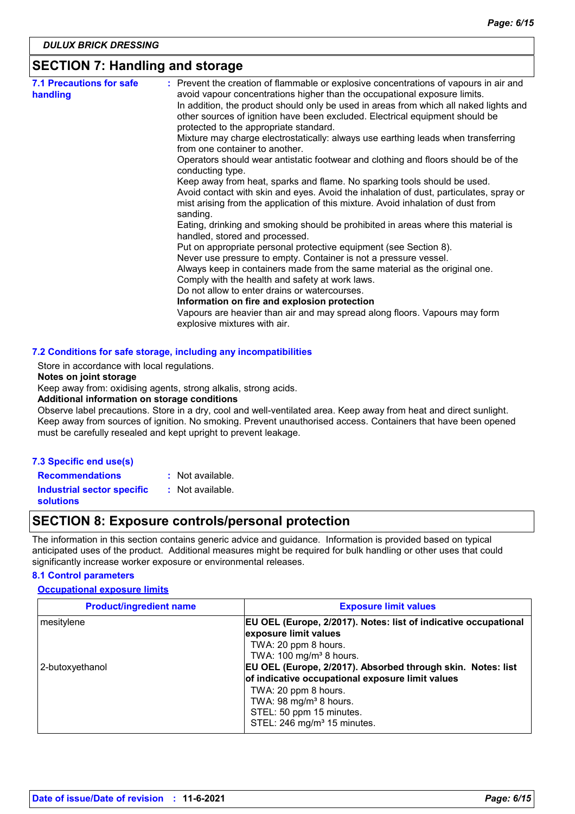### **SECTION 7: Handling and storage**

| <b>7.1 Precautions for safe</b><br>handling | : Prevent the creation of flammable or explosive concentrations of vapours in air and<br>avoid vapour concentrations higher than the occupational exposure limits.                                              |
|---------------------------------------------|-----------------------------------------------------------------------------------------------------------------------------------------------------------------------------------------------------------------|
|                                             | In addition, the product should only be used in areas from which all naked lights and<br>other sources of ignition have been excluded. Electrical equipment should be<br>protected to the appropriate standard. |
|                                             | Mixture may charge electrostatically: always use earthing leads when transferring                                                                                                                               |
|                                             | from one container to another.                                                                                                                                                                                  |
|                                             | Operators should wear antistatic footwear and clothing and floors should be of the<br>conducting type.                                                                                                          |
|                                             | Keep away from heat, sparks and flame. No sparking tools should be used.                                                                                                                                        |
|                                             | Avoid contact with skin and eyes. Avoid the inhalation of dust, particulates, spray or<br>mist arising from the application of this mixture. Avoid inhalation of dust from<br>sanding.                          |
|                                             | Eating, drinking and smoking should be prohibited in areas where this material is<br>handled, stored and processed.                                                                                             |
|                                             | Put on appropriate personal protective equipment (see Section 8).                                                                                                                                               |
|                                             | Never use pressure to empty. Container is not a pressure vessel.                                                                                                                                                |
|                                             | Always keep in containers made from the same material as the original one.                                                                                                                                      |
|                                             | Comply with the health and safety at work laws.                                                                                                                                                                 |
|                                             | Do not allow to enter drains or watercourses.                                                                                                                                                                   |
|                                             | Information on fire and explosion protection                                                                                                                                                                    |
|                                             | Vapours are heavier than air and may spread along floors. Vapours may form<br>explosive mixtures with air.                                                                                                      |

#### Store in accordance with local regulations.

#### **Notes on joint storage**

Keep away from: oxidising agents, strong alkalis, strong acids.

### **Additional information on storage conditions**

Observe label precautions. Store in a dry, cool and well-ventilated area. Keep away from heat and direct sunlight. Keep away from sources of ignition. No smoking. Prevent unauthorised access. Containers that have been opened must be carefully resealed and kept upright to prevent leakage.

### **7.3 Specific end use(s)**

**Recommendations :** : Not available.

**Industrial sector specific :** : Not available.

**solutions**

# **SECTION 8: Exposure controls/personal protection**

The information in this section contains generic advice and guidance. Information is provided based on typical anticipated uses of the product. Additional measures might be required for bulk handling or other uses that could significantly increase worker exposure or environmental releases.

### **8.1 Control parameters**

### **Occupational exposure limits**

| <b>Product/ingredient name</b> | <b>Exposure limit values</b>                                                                                    |
|--------------------------------|-----------------------------------------------------------------------------------------------------------------|
| mesitylene                     | <b>EU OEL (Europe, 2/2017). Notes: list of indicative occupational</b><br>exposure limit values                 |
|                                | TWA: 20 ppm 8 hours.<br>TWA: 100 mg/m <sup>3</sup> 8 hours.                                                     |
| 2-butoxyethanol                | EU OEL (Europe, 2/2017). Absorbed through skin. Notes: list<br>of indicative occupational exposure limit values |
|                                | TWA: 20 ppm 8 hours.<br>TWA: 98 mg/m <sup>3</sup> 8 hours.                                                      |
|                                | STEL: 50 ppm 15 minutes.<br>STEL: 246 mg/m <sup>3</sup> 15 minutes.                                             |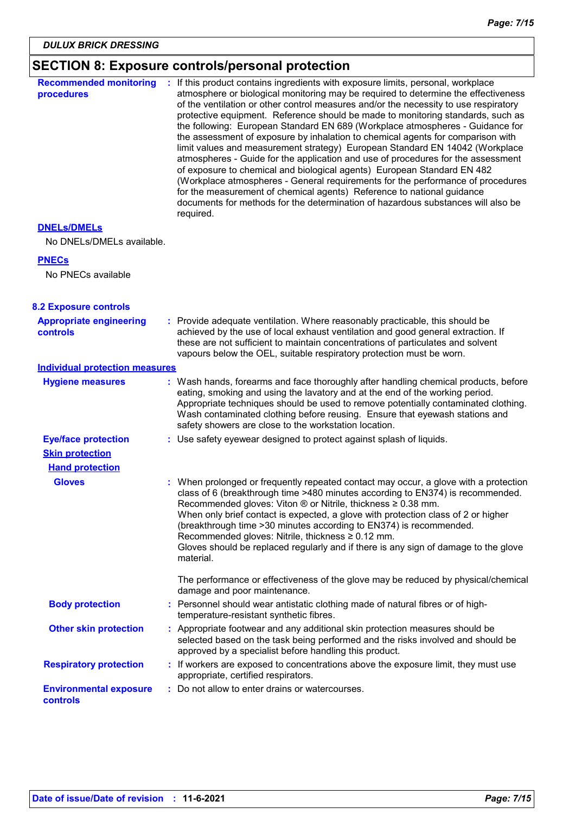| <b>SECTION 8: Exposure controls/personal protection</b> |  |  |  |  |
|---------------------------------------------------------|--|--|--|--|
|---------------------------------------------------------|--|--|--|--|

| <b>Recommended monitoring</b><br>procedures                                    | : If this product contains ingredients with exposure limits, personal, workplace<br>atmosphere or biological monitoring may be required to determine the effectiveness<br>of the ventilation or other control measures and/or the necessity to use respiratory<br>protective equipment. Reference should be made to monitoring standards, such as<br>the following: European Standard EN 689 (Workplace atmospheres - Guidance for<br>the assessment of exposure by inhalation to chemical agents for comparison with<br>limit values and measurement strategy) European Standard EN 14042 (Workplace<br>atmospheres - Guide for the application and use of procedures for the assessment<br>of exposure to chemical and biological agents) European Standard EN 482<br>(Workplace atmospheres - General requirements for the performance of procedures<br>for the measurement of chemical agents) Reference to national guidance<br>documents for methods for the determination of hazardous substances will also be<br>required. |  |
|--------------------------------------------------------------------------------|------------------------------------------------------------------------------------------------------------------------------------------------------------------------------------------------------------------------------------------------------------------------------------------------------------------------------------------------------------------------------------------------------------------------------------------------------------------------------------------------------------------------------------------------------------------------------------------------------------------------------------------------------------------------------------------------------------------------------------------------------------------------------------------------------------------------------------------------------------------------------------------------------------------------------------------------------------------------------------------------------------------------------------|--|
| <b>DNELS/DMELS</b><br>No DNELs/DMELs available.                                |                                                                                                                                                                                                                                                                                                                                                                                                                                                                                                                                                                                                                                                                                                                                                                                                                                                                                                                                                                                                                                    |  |
| <b>PNECs</b>                                                                   |                                                                                                                                                                                                                                                                                                                                                                                                                                                                                                                                                                                                                                                                                                                                                                                                                                                                                                                                                                                                                                    |  |
| No PNECs available                                                             |                                                                                                                                                                                                                                                                                                                                                                                                                                                                                                                                                                                                                                                                                                                                                                                                                                                                                                                                                                                                                                    |  |
| <b>8.2 Exposure controls</b>                                                   |                                                                                                                                                                                                                                                                                                                                                                                                                                                                                                                                                                                                                                                                                                                                                                                                                                                                                                                                                                                                                                    |  |
| <b>Appropriate engineering</b><br><b>controls</b>                              | : Provide adequate ventilation. Where reasonably practicable, this should be<br>achieved by the use of local exhaust ventilation and good general extraction. If<br>these are not sufficient to maintain concentrations of particulates and solvent<br>vapours below the OEL, suitable respiratory protection must be worn.                                                                                                                                                                                                                                                                                                                                                                                                                                                                                                                                                                                                                                                                                                        |  |
| <b>Individual protection measures</b>                                          |                                                                                                                                                                                                                                                                                                                                                                                                                                                                                                                                                                                                                                                                                                                                                                                                                                                                                                                                                                                                                                    |  |
| <b>Hygiene measures</b>                                                        | : Wash hands, forearms and face thoroughly after handling chemical products, before<br>eating, smoking and using the lavatory and at the end of the working period.<br>Appropriate techniques should be used to remove potentially contaminated clothing.<br>Wash contaminated clothing before reusing. Ensure that eyewash stations and<br>safety showers are close to the workstation location.                                                                                                                                                                                                                                                                                                                                                                                                                                                                                                                                                                                                                                  |  |
| <b>Eye/face protection</b><br><b>Skin protection</b><br><b>Hand protection</b> | : Use safety eyewear designed to protect against splash of liquids.                                                                                                                                                                                                                                                                                                                                                                                                                                                                                                                                                                                                                                                                                                                                                                                                                                                                                                                                                                |  |
| <b>Gloves</b>                                                                  | : When prolonged or frequently repeated contact may occur, a glove with a protection<br>class of 6 (breakthrough time >480 minutes according to EN374) is recommended.<br>Recommended gloves: Viton ® or Nitrile, thickness ≥ 0.38 mm.<br>When only brief contact is expected, a glove with protection class of 2 or higher<br>(breakthrough time > 30 minutes according to EN374) is recommended.<br>Recommended gloves: Nitrile, thickness ≥ 0.12 mm.<br>Gloves should be replaced regularly and if there is any sign of damage to the glove<br>material.                                                                                                                                                                                                                                                                                                                                                                                                                                                                        |  |
|                                                                                | The performance or effectiveness of the glove may be reduced by physical/chemical<br>damage and poor maintenance.                                                                                                                                                                                                                                                                                                                                                                                                                                                                                                                                                                                                                                                                                                                                                                                                                                                                                                                  |  |
| <b>Body protection</b>                                                         | : Personnel should wear antistatic clothing made of natural fibres or of high-<br>temperature-resistant synthetic fibres.                                                                                                                                                                                                                                                                                                                                                                                                                                                                                                                                                                                                                                                                                                                                                                                                                                                                                                          |  |
| <b>Other skin protection</b>                                                   | : Appropriate footwear and any additional skin protection measures should be<br>selected based on the task being performed and the risks involved and should be<br>approved by a specialist before handling this product.                                                                                                                                                                                                                                                                                                                                                                                                                                                                                                                                                                                                                                                                                                                                                                                                          |  |
| <b>Respiratory protection</b>                                                  | : If workers are exposed to concentrations above the exposure limit, they must use<br>appropriate, certified respirators.                                                                                                                                                                                                                                                                                                                                                                                                                                                                                                                                                                                                                                                                                                                                                                                                                                                                                                          |  |
| <b>Environmental exposure</b><br>controls                                      | : Do not allow to enter drains or watercourses.                                                                                                                                                                                                                                                                                                                                                                                                                                                                                                                                                                                                                                                                                                                                                                                                                                                                                                                                                                                    |  |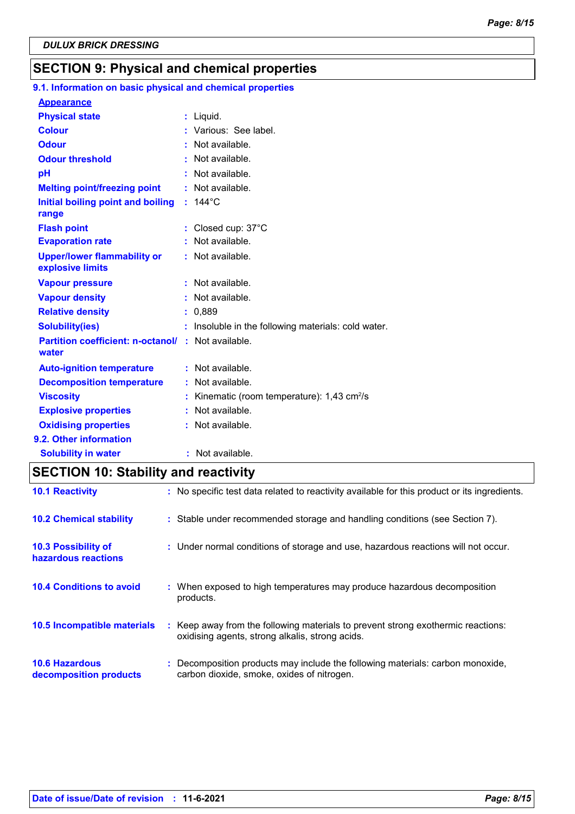# **SECTION 9: Physical and chemical properties**

# **9.1. Information on basic physical and chemical properties**

| <b>Appearance</b>                                                  |                                                       |
|--------------------------------------------------------------------|-------------------------------------------------------|
| <b>Physical state</b>                                              | : Liquid.                                             |
| <b>Colour</b>                                                      | : Various: See label.                                 |
| <b>Odour</b>                                                       | : Not available.                                      |
| <b>Odour threshold</b>                                             | : Not available.                                      |
| pH                                                                 | : Not available.                                      |
| <b>Melting point/freezing point</b>                                | : Not available.                                      |
| Initial boiling point and boiling<br>range                         | $: 144^{\circ}$ C                                     |
| <b>Flash point</b>                                                 | : Closed cup: 37°C                                    |
| <b>Evaporation rate</b>                                            | : Not available.                                      |
| <b>Upper/lower flammability or</b><br>explosive limits             | $:$ Not available.                                    |
| <b>Vapour pressure</b>                                             | : Not available.                                      |
| <b>Vapour density</b>                                              | : Not available.                                      |
| <b>Relative density</b>                                            | : 0,889                                               |
| <b>Solubility(ies)</b>                                             | : Insoluble in the following materials: cold water.   |
| <b>Partition coefficient: n-octanol/ : Not available.</b><br>water |                                                       |
| <b>Auto-ignition temperature</b>                                   | : Not available.                                      |
| <b>Decomposition temperature</b>                                   | : Not available.                                      |
| <b>Viscosity</b>                                                   | Kinematic (room temperature): 1,43 cm <sup>2</sup> /s |
| <b>Explosive properties</b>                                        | Not available.                                        |
| <b>Oxidising properties</b>                                        | : Not available.                                      |
| 9.2. Other information                                             |                                                       |
| <b>Solubility in water</b>                                         | : Not available.                                      |

# **SECTION 10: Stability and reactivity**

| <b>10.1 Reactivity</b>                            | : No specific test data related to reactivity available for this product or its ingredients.                                        |
|---------------------------------------------------|-------------------------------------------------------------------------------------------------------------------------------------|
| <b>10.2 Chemical stability</b>                    | : Stable under recommended storage and handling conditions (see Section 7).                                                         |
| <b>10.3 Possibility of</b><br>hazardous reactions | : Under normal conditions of storage and use, hazardous reactions will not occur.                                                   |
| <b>10.4 Conditions to avoid</b>                   | : When exposed to high temperatures may produce hazardous decomposition<br>products.                                                |
| 10.5 Incompatible materials                       | : Keep away from the following materials to prevent strong exothermic reactions:<br>oxidising agents, strong alkalis, strong acids. |
| <b>10.6 Hazardous</b><br>decomposition products   | : Decomposition products may include the following materials: carbon monoxide,<br>carbon dioxide, smoke, oxides of nitrogen.        |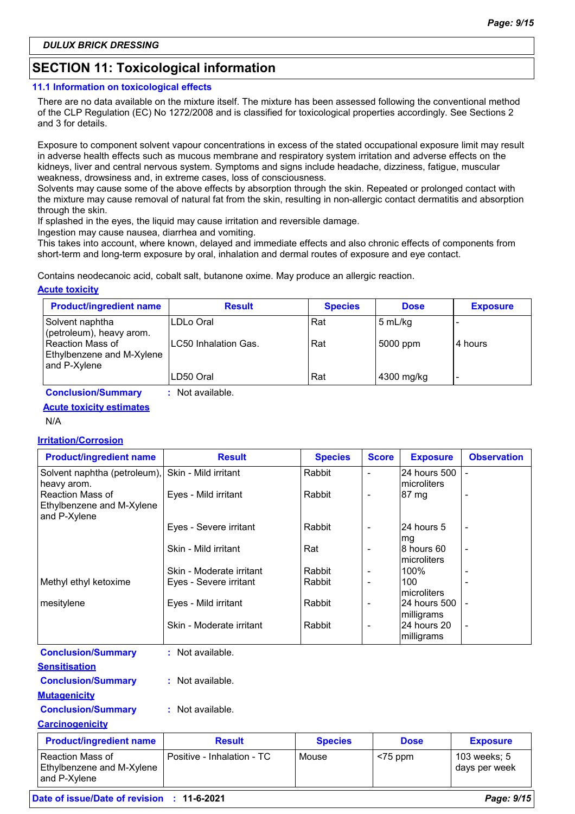# **SECTION 11: Toxicological information**

### **11.1 Information on toxicological effects**

There are no data available on the mixture itself. The mixture has been assessed following the conventional method of the CLP Regulation (EC) No 1272/2008 and is classified for toxicological properties accordingly. See Sections 2 and 3 for details.

Exposure to component solvent vapour concentrations in excess of the stated occupational exposure limit may result in adverse health effects such as mucous membrane and respiratory system irritation and adverse effects on the kidneys, liver and central nervous system. Symptoms and signs include headache, dizziness, fatigue, muscular weakness, drowsiness and, in extreme cases, loss of consciousness.

Solvents may cause some of the above effects by absorption through the skin. Repeated or prolonged contact with the mixture may cause removal of natural fat from the skin, resulting in non-allergic contact dermatitis and absorption through the skin.

If splashed in the eyes, the liquid may cause irritation and reversible damage.

Ingestion may cause nausea, diarrhea and vomiting.

This takes into account, where known, delayed and immediate effects and also chronic effects of components from short-term and long-term exposure by oral, inhalation and dermal routes of exposure and eye contact.

Contains neodecanoic acid, cobalt salt, butanone oxime. May produce an allergic reaction.

### **Acute toxicity**

| <b>Product/ingredient name</b>                                | <b>Result</b>        | <b>Species</b> | <b>Dose</b> | <b>Exposure</b> |
|---------------------------------------------------------------|----------------------|----------------|-------------|-----------------|
| Solvent naphtha<br>(petroleum), heavy arom.                   | LDLo Oral            | Rat            | 5 mL/kg     |                 |
| Reaction Mass of<br>Ethylbenzene and M-Xylene<br>and P-Xylene | LC50 Inhalation Gas. | Rat            | 5000 ppm    | 4 hours         |
|                                                               | LD50 Oral            | Rat            | 4300 mg/kg  |                 |

**Conclusion/Summary :** Not available.

### **Acute toxicity estimates**

N/A

### **Irritation/Corrosion**

| <b>Product/ingredient name</b>                                       | <b>Result</b>            | <b>Species</b> | <b>Score</b>   | <b>Exposure</b>                    | <b>Observation</b>       |
|----------------------------------------------------------------------|--------------------------|----------------|----------------|------------------------------------|--------------------------|
| Solvent naphtha (petroleum), Skin - Mild irritant<br>heavy arom.     |                          | Rabbit         | ٠              | <b>24 hours 500</b><br>microliters |                          |
| <b>Reaction Mass of</b><br>Ethylbenzene and M-Xylene<br>and P-Xylene | Eyes - Mild irritant     | Rabbit         | ۰              | 87 mg                              |                          |
|                                                                      | Eyes - Severe irritant   | Rabbit         | $\blacksquare$ | 24 hours 5<br>mg                   | $\overline{\phantom{a}}$ |
|                                                                      | Skin - Mild irritant     | Rat            | ۰              | 8 hours 60<br>Imicroliters         | $\overline{\phantom{a}}$ |
|                                                                      | Skin - Moderate irritant | Rabbit         | ۰              | 100%                               |                          |
| Methyl ethyl ketoxime                                                | Eyes - Severe irritant   | Rabbit         | ۰              | 100<br>Imicroliters                |                          |
| mesitylene                                                           | Eyes - Mild irritant     | Rabbit         | ۰              | <b>24 hours 500</b><br>milligrams  |                          |
|                                                                      | Skin - Moderate irritant | Rabbit         | ۰              | 24 hours 20<br>milligrams          |                          |
| <b>Conclusion/Summary</b>                                            | : Not available.         |                |                |                                    |                          |

| <b>Sensitisation</b>      |                  |
|---------------------------|------------------|
| <b>Conclusion/Summary</b> | : Not available. |

### **Conclusion/Summary :** Not available.

### **Carcinogenicity**

**Mutagenicity**

| <b>Product/ingredient name</b>                                | <b>Result</b>              | <b>Species</b> | <b>Dose</b> | <b>Exposure</b>               |
|---------------------------------------------------------------|----------------------------|----------------|-------------|-------------------------------|
| Reaction Mass of<br>Ethylbenzene and M-Xylene<br>and P-Xvlene | Positive - Inhalation - TC | Mouse          | $<$ 75 ppm  | 103 weeks; 5<br>days per week |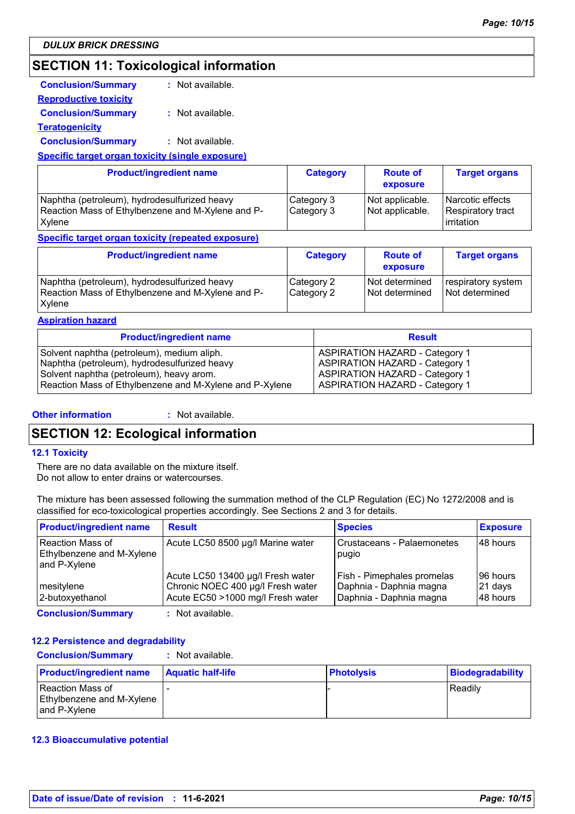# **SECTION 11: Toxicological information**

| <b>Conclusion/Summary</b>                               | : Not available. |  |  |  |
|---------------------------------------------------------|------------------|--|--|--|
| <b>Reproductive toxicity</b>                            |                  |  |  |  |
| <b>Conclusion/Summary</b>                               | : Not available. |  |  |  |
| <b>Teratogenicity</b>                                   |                  |  |  |  |
| <b>Conclusion/Summary</b>                               | : Not available. |  |  |  |
| <b>Specific target organ toxicity (single exposure)</b> |                  |  |  |  |
|                                                         |                  |  |  |  |

| <b>Product/ingredient name</b>                    | <b>Category</b> | <b>Route of</b><br>exposure | <b>Target organs</b> |
|---------------------------------------------------|-----------------|-----------------------------|----------------------|
| Naphtha (petroleum), hydrodesulfurized heavy      | Category 3      | Not applicable.             | Narcotic effects     |
| Reaction Mass of Ethylbenzene and M-Xylene and P- | Category 3      | Not applicable.             | Respiratory tract    |
| <b>X</b> vlene                                    |                 |                             | <b>l</b> irritation  |

### **Specific target organ toxicity (repeated exposure)**

| <b>Product/ingredient name</b>                                                                              | <b>Category</b>          | <b>Route of</b><br>exposure      | <b>Target organs</b>                 |
|-------------------------------------------------------------------------------------------------------------|--------------------------|----------------------------------|--------------------------------------|
| Naphtha (petroleum), hydrodesulfurized heavy<br>Reaction Mass of Ethylbenzene and M-Xylene and P-<br>Xylene | Category 2<br>Category 2 | Not determined<br>Not determined | respiratory system<br>Not determined |

### **Aspiration hazard**

| <b>Product/ingredient name</b>                          | <b>Result</b>                         |
|---------------------------------------------------------|---------------------------------------|
| Solvent naphtha (petroleum), medium aliph.              | <b>ASPIRATION HAZARD - Category 1</b> |
| Naphtha (petroleum), hydrodesulfurized heavy            | <b>ASPIRATION HAZARD - Category 1</b> |
| Solvent naphtha (petroleum), heavy arom.                | <b>ASPIRATION HAZARD - Category 1</b> |
| Reaction Mass of Ethylbenzene and M-Xylene and P-Xylene | ASPIRATION HAZARD - Category 1        |

### **Other information :**

: Not available.

# **SECTION 12: Ecological information**

### **12.1 Toxicity**

There are no data available on the mixture itself. Do not allow to enter drains or watercourses.

The mixture has been assessed following the summation method of the CLP Regulation (EC) No 1272/2008 and is classified for eco-toxicological properties accordingly. See Sections 2 and 3 for details.

| <b>Product/ingredient name</b>                                                                                                                                                                                                 | <b>Result</b>                                                                                               | <b>Species</b>                                                                   | <b>Exposure</b>                    |
|--------------------------------------------------------------------------------------------------------------------------------------------------------------------------------------------------------------------------------|-------------------------------------------------------------------------------------------------------------|----------------------------------------------------------------------------------|------------------------------------|
| Reaction Mass of<br>Ethylbenzene and M-Xylene<br>and P-Xylene                                                                                                                                                                  | Acute LC50 8500 µg/l Marine water                                                                           | Crustaceans - Palaemonetes<br>pugio                                              | 148 hours                          |
| mesitylene<br>2-butoxyethanol                                                                                                                                                                                                  | Acute LC50 13400 µg/l Fresh water<br>Chronic NOEC 400 µg/l Fresh water<br>Acute EC50 >1000 mg/l Fresh water | Fish - Pimephales promelas<br>Daphnia - Daphnia magna<br>Daphnia - Daphnia magna | 96 hours<br>$ 21$ days<br>48 hours |
| On a modern formation of the contract of the contract of the contract of the contract of the contract of the contract of the contract of the contract of the contract of the contract of the contract of the contract of the c | الملمان والمربط والمرابات                                                                                   |                                                                                  |                                    |

**Conclusion/Summary :** Not available.

### **12.2 Persistence and degradability**

| <b>Conclusion/Summary</b> | : Not available. |
|---------------------------|------------------|
|                           |                  |

| <b>Product/ingredient name</b>                                  | <b>Aquatic half-life</b> | <b>Photolysis</b> | Biodegradability |
|-----------------------------------------------------------------|--------------------------|-------------------|------------------|
| l Reaction Mass of<br>Ethylbenzene and M-Xylene<br>and P-Xvlene |                          |                   | <b>Readilv</b>   |

### **12.3 Bioaccumulative potential**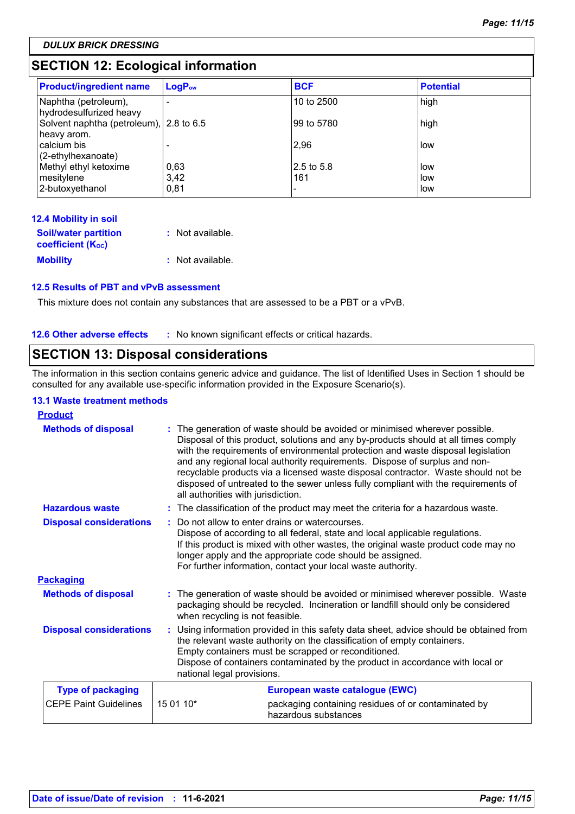*DULUX BRICK DRESSING*

# **SECTION 12: Ecological information**

| <b>Product/ingredient name</b>                         | LogP <sub>ow</sub> | <b>BCF</b>  | <b>Potential</b> |
|--------------------------------------------------------|--------------------|-------------|------------------|
| Naphtha (petroleum),<br>hydrodesulfurized heavy        |                    | 10 to 2500  | high             |
| Solvent naphtha (petroleum), 2.8 to 6.5<br>heavy arom. |                    | l99 to 5780 | high             |
| calcium bis<br>(2-ethylhexanoate)                      |                    | 2,96        | low              |
| Methyl ethyl ketoxime                                  | 0,63               | 2.5 to 5.8  | low              |
| mesitylene                                             | 3,42               | 161         | llow.            |
| 2-butoxyethanol                                        | 0,81               |             | i low            |

| <b>12.4 Mobility in soil</b>   |                  |
|--------------------------------|------------------|
| <b>Soil/water partition</b>    | : Not available. |
| coefficient (K <sub>oc</sub> ) |                  |
| <b>Mobility</b>                | : Not available. |

### **12.5 Results of PBT and vPvB assessment**

This mixture does not contain any substances that are assessed to be a PBT or a vPvB.

### **12.6 Other adverse effects** : No known significant effects or critical hazards.

# **SECTION 13: Disposal considerations**

The information in this section contains generic advice and guidance. The list of Identified Uses in Section 1 should be consulted for any available use-specific information provided in the Exposure Scenario(s).

### **13.1 Waste treatment methods**

| <b>Product</b>                 |                                                                                                                                                                                                                                                                                                                                       |                                                                                                                                                                                                                                                                                                                                                                                                                                                                                                                                                    |  |  |
|--------------------------------|---------------------------------------------------------------------------------------------------------------------------------------------------------------------------------------------------------------------------------------------------------------------------------------------------------------------------------------|----------------------------------------------------------------------------------------------------------------------------------------------------------------------------------------------------------------------------------------------------------------------------------------------------------------------------------------------------------------------------------------------------------------------------------------------------------------------------------------------------------------------------------------------------|--|--|
| <b>Methods of disposal</b>     |                                                                                                                                                                                                                                                                                                                                       | The generation of waste should be avoided or minimised wherever possible.<br>Disposal of this product, solutions and any by-products should at all times comply<br>with the requirements of environmental protection and waste disposal legislation<br>and any regional local authority requirements. Dispose of surplus and non-<br>recyclable products via a licensed waste disposal contractor. Waste should not be<br>disposed of untreated to the sewer unless fully compliant with the requirements of<br>all authorities with jurisdiction. |  |  |
| <b>Hazardous waste</b>         |                                                                                                                                                                                                                                                                                                                                       | : The classification of the product may meet the criteria for a hazardous waste.                                                                                                                                                                                                                                                                                                                                                                                                                                                                   |  |  |
| <b>Disposal considerations</b> |                                                                                                                                                                                                                                                                                                                                       | Do not allow to enter drains or watercourses.<br>Dispose of according to all federal, state and local applicable regulations.<br>If this product is mixed with other wastes, the original waste product code may no<br>longer apply and the appropriate code should be assigned.<br>For further information, contact your local waste authority.                                                                                                                                                                                                   |  |  |
| <b>Packaging</b>               |                                                                                                                                                                                                                                                                                                                                       |                                                                                                                                                                                                                                                                                                                                                                                                                                                                                                                                                    |  |  |
| <b>Methods of disposal</b>     | when recycling is not feasible.                                                                                                                                                                                                                                                                                                       | : The generation of waste should be avoided or minimised wherever possible. Waste<br>packaging should be recycled. Incineration or landfill should only be considered                                                                                                                                                                                                                                                                                                                                                                              |  |  |
| <b>Disposal considerations</b> | Using information provided in this safety data sheet, advice should be obtained from<br>the relevant waste authority on the classification of empty containers.<br>Empty containers must be scrapped or reconditioned.<br>Dispose of containers contaminated by the product in accordance with local or<br>national legal provisions. |                                                                                                                                                                                                                                                                                                                                                                                                                                                                                                                                                    |  |  |
| <b>Type of packaging</b>       |                                                                                                                                                                                                                                                                                                                                       | European waste catalogue (EWC)                                                                                                                                                                                                                                                                                                                                                                                                                                                                                                                     |  |  |
| <b>CEPE Paint Guidelines</b>   | 15 01 10*                                                                                                                                                                                                                                                                                                                             | packaging containing residues of or contaminated by<br>hazardous substances                                                                                                                                                                                                                                                                                                                                                                                                                                                                        |  |  |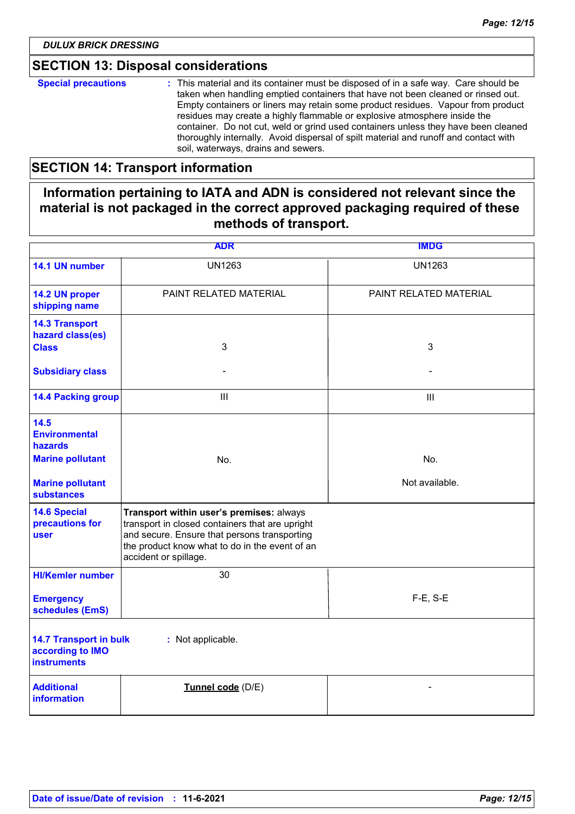# **SECTION 13: Disposal considerations**

| <b>Special precautions</b> | : This material and its container must be disposed of in a safe way. Care should be<br>taken when handling emptied containers that have not been cleaned or rinsed out.<br>Empty containers or liners may retain some product residues. Vapour from product<br>residues may create a highly flammable or explosive atmosphere inside the<br>container. Do not cut, weld or grind used containers unless they have been cleaned<br>thoroughly internally. Avoid dispersal of spilt material and runoff and contact with<br>soil, waterways, drains and sewers. |
|----------------------------|---------------------------------------------------------------------------------------------------------------------------------------------------------------------------------------------------------------------------------------------------------------------------------------------------------------------------------------------------------------------------------------------------------------------------------------------------------------------------------------------------------------------------------------------------------------|
|----------------------------|---------------------------------------------------------------------------------------------------------------------------------------------------------------------------------------------------------------------------------------------------------------------------------------------------------------------------------------------------------------------------------------------------------------------------------------------------------------------------------------------------------------------------------------------------------------|

# **SECTION 14: Transport information**

# **Information pertaining to IATA and ADN is considered not relevant since the material is not packaged in the correct approved packaging required of these methods of transport.**

|                                                                         | <b>ADR</b>                                                                                                                                                                                                             | <b>IMDG</b>            |
|-------------------------------------------------------------------------|------------------------------------------------------------------------------------------------------------------------------------------------------------------------------------------------------------------------|------------------------|
| 14.1 UN number                                                          | <b>UN1263</b>                                                                                                                                                                                                          | <b>UN1263</b>          |
| 14.2 UN proper<br>shipping name                                         | PAINT RELATED MATERIAL                                                                                                                                                                                                 | PAINT RELATED MATERIAL |
| <b>14.3 Transport</b><br>hazard class(es)<br><b>Class</b>               | 3                                                                                                                                                                                                                      | 3                      |
| <b>Subsidiary class</b>                                                 |                                                                                                                                                                                                                        |                        |
| <b>14.4 Packing group</b>                                               | III                                                                                                                                                                                                                    | III                    |
| 14.5<br><b>Environmental</b><br>hazards                                 |                                                                                                                                                                                                                        |                        |
| <b>Marine pollutant</b>                                                 | No.                                                                                                                                                                                                                    | No.                    |
| <b>Marine pollutant</b><br><b>substances</b>                            |                                                                                                                                                                                                                        | Not available.         |
| <b>14.6 Special</b><br>precautions for<br>user                          | Transport within user's premises: always<br>transport in closed containers that are upright<br>and secure. Ensure that persons transporting<br>the product know what to do in the event of an<br>accident or spillage. |                        |
| <b>HI/Kemler number</b>                                                 | 30                                                                                                                                                                                                                     |                        |
| <b>Emergency</b><br>schedules (EmS)                                     |                                                                                                                                                                                                                        | F-E, S-E               |
| <b>14.7 Transport in bulk</b><br>according to IMO<br><b>instruments</b> | : Not applicable.                                                                                                                                                                                                      |                        |
| <b>Additional</b><br>information                                        | Tunnel code (D/E)                                                                                                                                                                                                      |                        |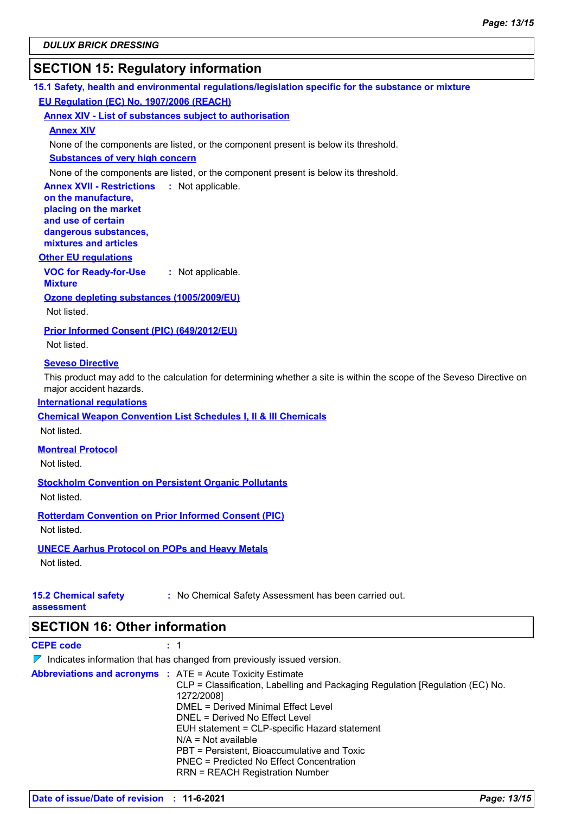# **SECTION 15: Regulatory information**

**15.1 Safety, health and environmental regulations/legislation specific for the substance or mixture EU Regulation (EC) No. 1907/2006 (REACH)**

**Annex XIV - List of substances subject to authorisation**

### **Annex XIV**

None of the components are listed, or the component present is below its threshold.

### **Substances of very high concern**

None of the components are listed, or the component present is below its threshold.

**Annex XVII - Restrictions : Not applicable. on the manufacture, placing on the market** 

**and use of certain dangerous substances, mixtures and articles**

### **Other EU regulations**

**VOC for Ready-for-Use :** Not applicable.

**Mixture Ozone depleting substances (1005/2009/EU)**

Not listed.

**Prior Informed Consent (PIC) (649/2012/EU)**

Not listed.

### **Seveso Directive**

This product may add to the calculation for determining whether a site is within the scope of the Seveso Directive on major accident hazards.

### **International regulations**

**Chemical Weapon Convention List Schedules I, II & III Chemicals**

Not listed.

**Montreal Protocol**

Not listed.

**Stockholm Convention on Persistent Organic Pollutants**

Not listed.

**Rotterdam Convention on Prior Informed Consent (PIC)**

Not listed.

### **UNECE Aarhus Protocol on POPs and Heavy Metals**

Not listed.

# **15.2 Chemical safety**

**:** No Chemical Safety Assessment has been carried out.

**assessment**

**SECTION 16: Other information**

**CEPE code :** 1

 $\nabla$  Indicates information that has changed from previously issued version.

**Abbreviations and acronyms :** ATE = Acute Toxicity Estimate

| CLP = Classification, Labelling and Packaging Regulation [Regulation (EC) No.<br>1272/2008] |
|---------------------------------------------------------------------------------------------|
| DMEL = Derived Minimal Effect Level                                                         |
| DNEL = Derived No Effect Level                                                              |
| EUH statement = CLP-specific Hazard statement                                               |
| $N/A = Not available$                                                                       |
| PBT = Persistent. Bioaccumulative and Toxic                                                 |
| PNEC = Predicted No Effect Concentration                                                    |
| <b>RRN = REACH Registration Number</b>                                                      |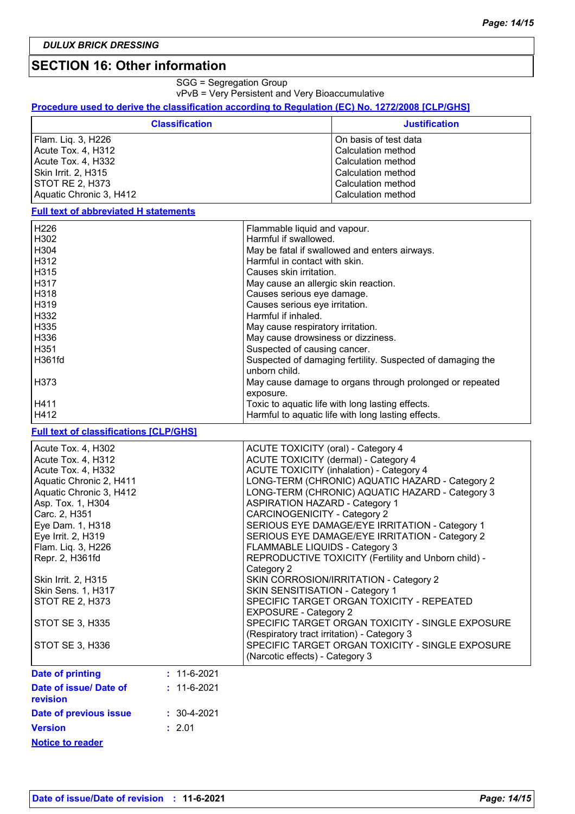### **SECTION 16: Other information**

SGG = Segregation Group

vPvB = Very Persistent and Very Bioaccumulative

### **Procedure used to derive the classification according to Regulation (EC) No. 1272/2008 [CLP/GHS]**

| <b>Classification</b>   | <b>Justification</b>  |
|-------------------------|-----------------------|
| Flam. Liq. 3, H226      | On basis of test data |
| Acute Tox. 4, H312      | Calculation method    |
| Acute Tox. 4, H332      | Calculation method    |
| Skin Irrit. 2, H315     | Calculation method    |
| STOT RE 2, H373         | Calculation method    |
| Aquatic Chronic 3, H412 | Calculation method    |

**Full text of abbreviated H statements**

| H226             | Flammable liquid and vapour.                               |
|------------------|------------------------------------------------------------|
| H302             | Harmful if swallowed.                                      |
| H <sub>304</sub> | May be fatal if swallowed and enters airways.              |
| H312             | Harmful in contact with skin.                              |
| H315             | Causes skin irritation.                                    |
| <b>H317</b>      | May cause an allergic skin reaction.                       |
| l H318           | Causes serious eye damage.                                 |
| H319             | Causes serious eye irritation.                             |
| H332             | Harmful if inhaled.                                        |
| H335             | May cause respiratory irritation.                          |
| H336             | May cause drowsiness or dizziness.                         |
| H351             | Suspected of causing cancer.                               |
| H361fd           | Suspected of damaging fertility. Suspected of damaging the |
|                  | unborn child.                                              |
| H373             | May cause damage to organs through prolonged or repeated   |
|                  | exposure.                                                  |
| H411             | Toxic to aquatic life with long lasting effects.           |
| H412             | Harmful to aquatic life with long lasting effects.         |

### **Full text of classifications [CLP/GHS]**

| Acute Tox. 4, H302<br>Acute Tox. 4, H312<br>Acute Tox. 4, H332                                                                       | <b>ACUTE TOXICITY (oral) - Category 4</b><br>ACUTE TOXICITY (dermal) - Category 4<br><b>ACUTE TOXICITY (inhalation) - Category 4</b> |
|--------------------------------------------------------------------------------------------------------------------------------------|--------------------------------------------------------------------------------------------------------------------------------------|
| Aquatic Chronic 2, H411                                                                                                              | LONG-TERM (CHRONIC) AQUATIC HAZARD - Category 2                                                                                      |
| Aquatic Chronic 3, H412                                                                                                              | LONG-TERM (CHRONIC) AQUATIC HAZARD - Category 3                                                                                      |
| Asp. Tox. 1, H304                                                                                                                    | <b>ASPIRATION HAZARD - Category 1</b>                                                                                                |
| Carc. 2, H351                                                                                                                        | <b>CARCINOGENICITY - Category 2</b>                                                                                                  |
| Eye Dam. 1, H318                                                                                                                     | SERIOUS EYE DAMAGE/EYE IRRITATION - Category 1                                                                                       |
| Eye Irrit. 2, H319                                                                                                                   | SERIOUS EYE DAMAGE/EYE IRRITATION - Category 2                                                                                       |
| Flam. Liq. 3, H226                                                                                                                   | FLAMMABLE LIQUIDS - Category 3                                                                                                       |
| Repr. 2, H361fd                                                                                                                      | REPRODUCTIVE TOXICITY (Fertility and Unborn child) -                                                                                 |
|                                                                                                                                      | Category 2                                                                                                                           |
| Skin Irrit. 2, H315                                                                                                                  | SKIN CORROSION/IRRITATION - Category 2                                                                                               |
| Skin Sens. 1, H317                                                                                                                   | SKIN SENSITISATION - Category 1                                                                                                      |
| STOT RE 2, H373                                                                                                                      | SPECIFIC TARGET ORGAN TOXICITY - REPEATED                                                                                            |
|                                                                                                                                      | <b>EXPOSURE - Category 2</b>                                                                                                         |
| STOT SE 3, H335                                                                                                                      | SPECIFIC TARGET ORGAN TOXICITY - SINGLE EXPOSURE                                                                                     |
|                                                                                                                                      | (Respiratory tract irritation) - Category 3                                                                                          |
| STOT SE 3, H336                                                                                                                      | SPECIFIC TARGET ORGAN TOXICITY - SINGLE EXPOSURE                                                                                     |
|                                                                                                                                      | (Narcotic effects) - Category 3                                                                                                      |
| Date of printing<br>$: 11 - 6 - 2021$                                                                                                |                                                                                                                                      |
| <b>Profile Contact Contact Contact Contact Contact Contact Contact Contact Contact Contact Contact Contact Contact</b><br>. <u>.</u> |                                                                                                                                      |

| Date of issue/ Date of<br>revision | $: 11 - 6 - 2021$ |
|------------------------------------|-------------------|
| Date of previous issue             | $: 30 - 4 - 2021$ |
| <b>Version</b>                     | : 2.01            |
| <b>Notice to reader</b>            |                   |